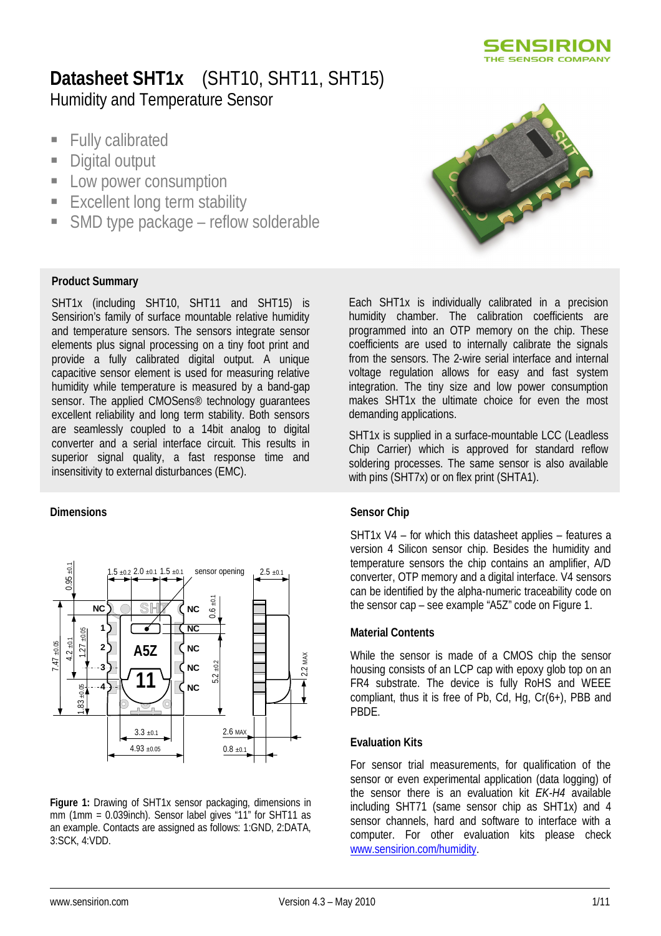

# **Datasheet SHT1x** (SHT10, SHT11, SHT15) Humidity and Temperature Sensor

- **Fully calibrated**
- **Digital output**
- **Low power consumption**
- **Excellent long term stability**
- SMD type package reflow solderable

#### **Product Summary**

SHT1x (including SHT10, SHT11 and SHT15) is Sensirion's family of surface mountable relative humidity and temperature sensors. The sensors integrate sensor elements plus signal processing on a tiny foot print and provide a fully calibrated digital output. A unique capacitive sensor element is used for measuring relative humidity while temperature is measured by a band-gap sensor. The applied CMOSens® technology guarantees excellent reliability and long term stability. Both sensors are seamlessly coupled to a 14bit analog to digital converter and a serial interface circuit. This results in superior signal quality, a fast response time and insensitivity to external disturbances (EMC).

#### **Dimensions**



**Figure 1:** Drawing of SHT1x sensor packaging, dimensions in mm (1mm = 0.039inch). Sensor label gives "11" for SHT11 as an example. Contacts are assigned as follows: 1:GND, 2:DATA, 3:SCK, 4:VDD.



Each SHT1x is individually calibrated in a precision humidity chamber. The calibration coefficients are programmed into an OTP memory on the chip. These coefficients are used to internally calibrate the signals from the sensors. The 2-wire serial interface and internal voltage regulation allows for easy and fast system integration. The tiny size and low power consumption makes SHT1x the ultimate choice for even the most demanding applications.

SHT1x is supplied in a surface-mountable LCC (Leadless Chip Carrier) which is approved for standard reflow soldering processes. The same sensor is also available with pins (SHT7x) or on flex print (SHTA1).

#### **Sensor Chip**

SHT1x V4 – for which this datasheet applies – features a version 4 Silicon sensor chip. Besides the humidity and temperature sensors the chip contains an amplifier, A/D converter, OTP memory and a digital interface. V4 sensors can be identified by the alpha-numeric traceability code on the sensor cap – see example "A5Z" code on Figure 1.

#### **Material Contents**

While the sensor is made of a CMOS chip the sensor housing consists of an LCP cap with epoxy glob top on an FR4 substrate. The device is fully RoHS and WEEE compliant, thus it is free of Pb, Cd, Hg, Cr(6+), PBB and PBDE.

#### **Evaluation Kits**

For sensor trial measurements, for qualification of the sensor or even experimental application (data logging) of the sensor there is an evaluation kit *EK-H4* available including SHT71 (same sensor chip as SHT1x) and 4 sensor channels, hard and software to interface with a computer. For other evaluation kits please check www.sensirion.com/humidity.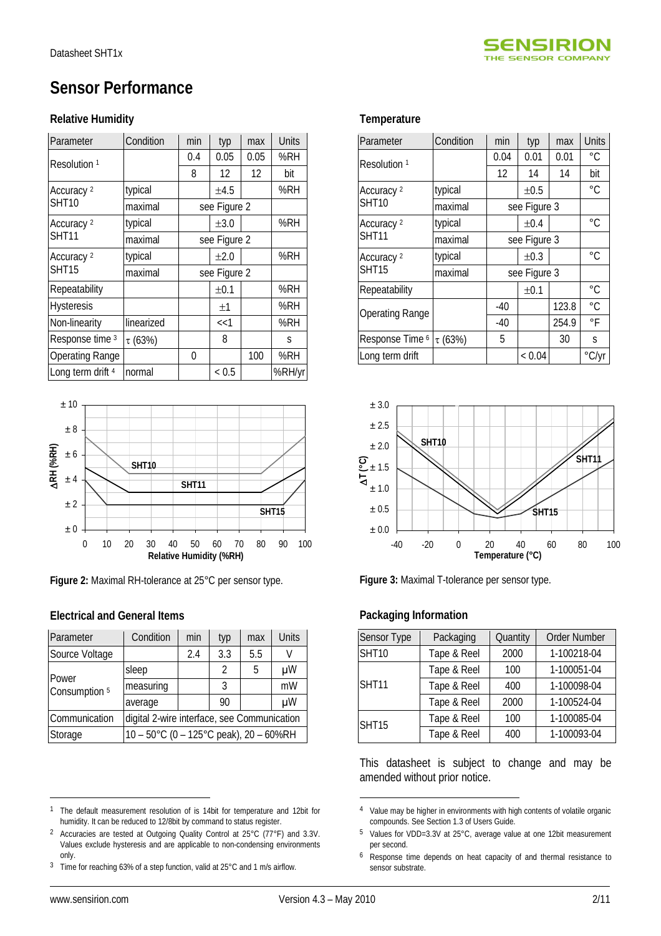

# **Sensor Performance**

#### **Relative Humidity**

| Parameter               | Condition    | min | typ          | max  | <b>Units</b> |
|-------------------------|--------------|-----|--------------|------|--------------|
| Resolution <sup>1</sup> |              | 0.4 | 0.05         | 0.05 | %RH          |
|                         |              | 8   | 12           | 12   | bit          |
| Accuracy <sup>2</sup>   | typical      |     | $\pm 4.5$    |      | %RH          |
| <b>SHT10</b>            | maximal      |     | see Figure 2 |      |              |
| Accuracy <sup>2</sup>   | typical      |     | $\pm 3.0$    |      | %RH          |
| <b>SHT11</b>            | maximal      |     | see Figure 2 |      |              |
| Accuracy <sup>2</sup>   | typical      |     | $\pm 2.0$    |      | %RH          |
| <b>SHT15</b>            | maximal      |     | see Figure 2 |      |              |
| Repeatability           |              |     | ±0.1         |      | %RH          |
| <b>Hysteresis</b>       |              |     | $\pm 1$      |      | %RH          |
| Non-linearity           | linearized   |     | <<1          |      | %RH          |
| Response time 3         | $\tau$ (63%) |     | 8            |      | S            |
| <b>Operating Range</b>  |              | 0   |              | 100  | %RH          |
| Long term drift 4       | normal       |     | < 0.5        |      | %RH/yr       |



**Figure 2:** Maximal RH-tolerance at 25°C per sensor type.

### **Electrical and General Items**

| Parameter                         | Condition                                   | min                                    | typ           | max | <b>Units</b> |  |
|-----------------------------------|---------------------------------------------|----------------------------------------|---------------|-----|--------------|--|
| Source Voltage                    |                                             | 2.4                                    | 3.3           | 5.5 |              |  |
|                                   | sleep                                       |                                        | $\mathcal{P}$ | 5   | μW           |  |
| Power<br>Consumption <sup>5</sup> | measuring                                   |                                        | 3             |     | mW           |  |
|                                   | average                                     |                                        | 90            |     | μW           |  |
| Communication                     | digital 2-wire interface, see Communication |                                        |               |     |              |  |
| Storage                           |                                             | 10 - 50°C (0 - 125°C peak), 20 - 60%RH |               |     |              |  |

3 Time for reaching 63% of a step function, valid at 25°C and 1 m/s airflow.

| Parameter                  | Condition    | min          | typ          | max   | <b>Units</b> |
|----------------------------|--------------|--------------|--------------|-------|--------------|
| Resolution <sup>1</sup>    |              | 0.04         | 0.01         | 0.01  | °C           |
|                            |              | 12           | 14           | 14    | bit          |
| Accuracy <sup>2</sup>      | typical      |              | $\pm 0.5$    |       | $^{\circ}C$  |
| <b>SHT10</b>               | maximal      |              | see Figure 3 |       |              |
| Accuracy <sup>2</sup>      | typical      | $\pm 0.4$    |              |       | °C           |
| <b>SHT11</b>               | maximal      | see Figure 3 |              |       |              |
| Accuracy <sup>2</sup>      | typical      |              | $\pm 0.3$    |       | °C           |
| SHT15                      | maximal      | see Figure 3 |              |       |              |
| Repeatability              |              |              | ±0.1         |       | °C           |
| <b>Operating Range</b>     |              | $-40$        |              | 123.8 | °C.          |
|                            |              | -40          |              | 254.9 | °F           |
| Response Time <sup>6</sup> | $\tau$ (63%) | 5            |              | 30    | S            |
| Long term drift            |              |              | < 0.04       |       | °C/yr        |



**Figure 3:** Maximal T-tolerance per sensor type.

### **Packaging Information**

| Sensor Type  | Packaging   | Quantity | <b>Order Number</b> |
|--------------|-------------|----------|---------------------|
| <b>SHT10</b> | Tape & Reel | 2000     | 1-100218-04         |
|              | Tape & Reel | 100      | 1-100051-04         |
| <b>SHT11</b> | Tape & Reel | 400      | 1-100098-04         |
|              | Tape & Reel | 2000     | 1-100524-04         |
| <b>SHT15</b> | Tape & Reel | 100      | 1-100085-04         |
|              | Tape & Reel | 400      | 1-100093-04         |

This datasheet is subject to change and may be amended without prior notice.

 $\overline{a}$ 

<sup>&</sup>lt;sup>1</sup> The default measurement resolution of is 14bit for temperature and 12bit for humidity. It can be reduced to 12/8bit by command to status register.

<sup>2</sup> Accuracies are tested at Outgoing Quality Control at 25°C (77°F) and 3.3V. Values exclude hysteresis and are applicable to non-condensing environments only.

<sup>4</sup> Value may be higher in environments with high contents of volatile organic compounds. See Section 1.3 of Users Guide.

<sup>5</sup> Values for VDD=3.3V at 25°C, average value at one 12bit measurement per second.

<sup>6</sup> Response time depends on heat capacity of and thermal resistance to sensor substrate.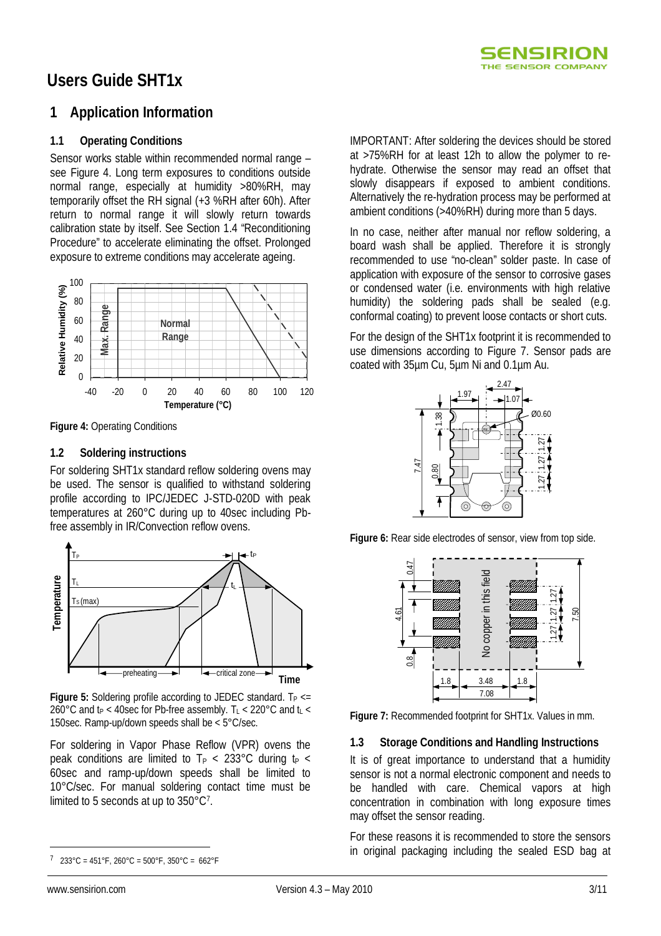

# **Users Guide SHT1x**

### **1 Application Information**

#### **1.1 Operating Conditions**

Sensor works stable within recommended normal range – see Figure 4. Long term exposures to conditions outside normal range, especially at humidity >80%RH, may temporarily offset the RH signal (+3 %RH after 60h). After return to normal range it will slowly return towards calibration state by itself. See Section 1.4 "Reconditioning Procedure" to accelerate eliminating the offset. Prolonged exposure to extreme conditions may accelerate ageing.



**Figure 4:** Operating Conditions

#### **1.2 Soldering instructions**

For soldering SHT1x standard reflow soldering ovens may be used. The sensor is qualified to withstand soldering profile according to IPC/JEDEC J-STD-020D with peak temperatures at 260°C during up to 40sec including Pbfree assembly in IR/Convection reflow ovens.



**Figure 5:** Soldering profile according to JEDEC standard. T<sub>P <=</sub> 260°C and  $t_P < 40$ sec for Pb-free assembly. T<sub>L</sub> < 220°C and  $t_L$  < 150sec. Ramp-up/down speeds shall be < 5°C/sec.

For soldering in Vapor Phase Reflow (VPR) ovens the peak conditions are limited to  $T_P < 233^{\circ}$ C during t<sub>p</sub> < 60sec and ramp-up/down speeds shall be limited to 10°C/sec. For manual soldering contact time must be limited to 5 seconds at up to  $350^{\circ}$ C<sup>7</sup>.

IMPORTANT: After soldering the devices should be stored at >75%RH for at least 12h to allow the polymer to rehydrate. Otherwise the sensor may read an offset that slowly disappears if exposed to ambient conditions. Alternatively the re-hydration process may be performed at ambient conditions (>40%RH) during more than 5 days.

In no case, neither after manual nor reflow soldering, a board wash shall be applied. Therefore it is strongly recommended to use "no-clean" solder paste. In case of application with exposure of the sensor to corrosive gases or condensed water (i.e. environments with high relative humidity) the soldering pads shall be sealed (e.g. conformal coating) to prevent loose contacts or short cuts.

For the design of the SHT1x footprint it is recommended to use dimensions according to Figure 7. Sensor pads are coated with 35µm Cu, 5µm Ni and 0.1µm Au.



**Figure 6:** Rear side electrodes of sensor, view from top side.



**Figure 7:** Recommended footprint for SHT1x. Values in mm.

### **1.3 Storage Conditions and Handling Instructions**

It is of great importance to understand that a humidity sensor is not a normal electronic component and needs to be handled with care. Chemical vapors at high concentration in combination with long exposure times may offset the sensor reading.

For these reasons it is recommended to store the sensors in original packaging including the sealed ESD bag at

 $\overline{a}$ 7 233°C = 451°F, 260°C = 500°F, 350°C = 662°F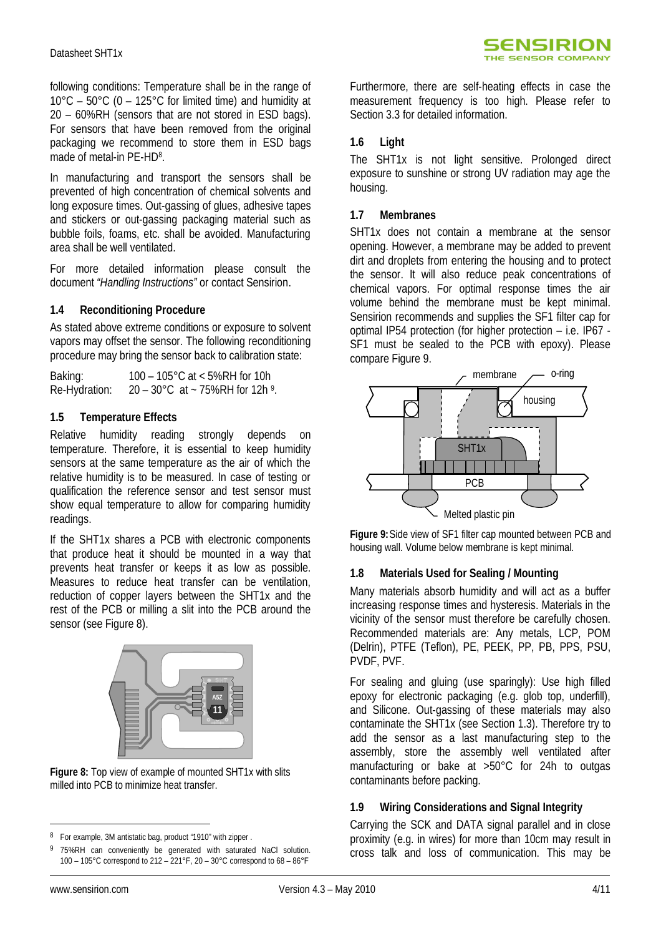following conditions: Temperature shall be in the range of  $10^{\circ}$ C –  $50^{\circ}$ C (0 – 125°C for limited time) and humidity at 20 – 60%RH (sensors that are not stored in ESD bags). For sensors that have been removed from the original packaging we recommend to store them in ESD bags made of metal-in PE-HD<sup>8</sup>.

In manufacturing and transport the sensors shall be prevented of high concentration of chemical solvents and long exposure times. Out-gassing of glues, adhesive tapes and stickers or out-gassing packaging material such as bubble foils, foams, etc. shall be avoided. Manufacturing area shall be well ventilated.

For more detailed information please consult the document *"Handling Instructions"* or contact Sensirion.

### **1.4 Reconditioning Procedure**

As stated above extreme conditions or exposure to solvent vapors may offset the sensor. The following reconditioning procedure may bring the sensor back to calibration state:

Baking: 100 – 105°C at < 5%RH for 10h Re-Hydration:  $20 - 30^{\circ}$ C at ~ 75%RH for 12h  $^{9}$ .

### **1.5 Temperature Effects**

Relative humidity reading strongly depends on temperature. Therefore, it is essential to keep humidity sensors at the same temperature as the air of which the relative humidity is to be measured. In case of testing or qualification the reference sensor and test sensor must show equal temperature to allow for comparing humidity readings.

If the SHT1x shares a PCB with electronic components that produce heat it should be mounted in a way that prevents heat transfer or keeps it as low as possible. Measures to reduce heat transfer can be ventilation, reduction of copper layers between the SHT1x and the rest of the PCB or milling a slit into the PCB around the sensor (see Figure 8).



**Figure 8:** Top view of example of mounted SHT1x with slits milled into PCB to minimize heat transfer.

Furthermore, there are self-heating effects in case the measurement frequency is too high. Please refer to Section 3.3 for detailed information.

### **1.6 Light**

The SHT1x is not light sensitive. Prolonged direct exposure to sunshine or strong UV radiation may age the housing.

### **1.7 Membranes**

SHT1x does not contain a membrane at the sensor opening. However, a membrane may be added to prevent dirt and droplets from entering the housing and to protect the sensor. It will also reduce peak concentrations of chemical vapors. For optimal response times the air volume behind the membrane must be kept minimal. Sensirion recommends and supplies the SF1 filter cap for optimal IP54 protection (for higher protection – i.e. IP67 - SF1 must be sealed to the PCB with epoxy). Please compare Figure 9.



**Figure 9:**Side view of SF1 filter cap mounted between PCB and housing wall. Volume below membrane is kept minimal.

### **1.8 Materials Used for Sealing / Mounting**

Many materials absorb humidity and will act as a buffer increasing response times and hysteresis. Materials in the vicinity of the sensor must therefore be carefully chosen. Recommended materials are: Any metals, LCP, POM (Delrin), PTFE (Teflon), PE, PEEK, PP, PB, PPS, PSU, PVDF, PVF.

For sealing and gluing (use sparingly): Use high filled epoxy for electronic packaging (e.g. glob top, underfill), and Silicone. Out-gassing of these materials may also contaminate the SHT1x (see Section 1.3). Therefore try to add the sensor as a last manufacturing step to the assembly, store the assembly well ventilated after manufacturing or bake at >50°C for 24h to outgas contaminants before packing.

### **1.9 Wiring Considerations and Signal Integrity**

Carrying the SCK and DATA signal parallel and in close proximity (e.g. in wires) for more than 10cm may result in cross talk and loss of communication. This may be

 $\overline{a}$ 8 For example, 3M antistatic bag, product "1910" with zipper .

<sup>75%</sup>RH can conveniently be generated with saturated NaCl solution. 100 – 105°C correspond to 212 – 221°F, 20 – 30°C correspond to 68 – 86°F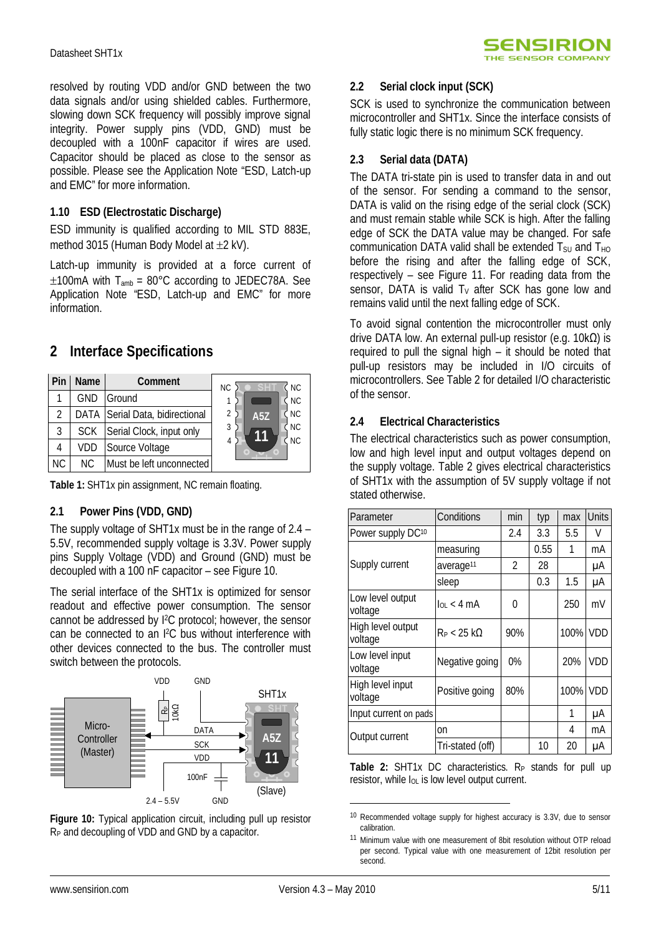resolved by routing VDD and/or GND between the two data signals and/or using shielded cables. Furthermore, slowing down SCK frequency will possibly improve signal integrity. Power supply pins (VDD, GND) must be decoupled with a 100nF capacitor if wires are used. Capacitor should be placed as close to the sensor as possible. Please see the Application Note "ESD, Latch-up and EMC" for more information.

### **1.10 ESD (Electrostatic Discharge)**

ESD immunity is qualified according to MIL STD 883E, method 3015 (Human Body Model at  $\pm 2$  kV).

Latch-up immunity is provided at a force current of  $\pm$ 100mA with T<sub>amb</sub> = 80°C according to JEDEC78A. See Application Note "ESD, Latch-up and EMC" for more information.

### **2 Interface Specifications**

| Pin | <b>Name</b> | <b>Comment</b>                  | <b>NC</b><br><b>NC</b>  |
|-----|-------------|---------------------------------|-------------------------|
|     | GND         | Ground                          | NC                      |
| 2   |             | DATA Serial Data, bidirectional | <b>NC</b><br><b>A5Z</b> |
| 3   | <b>SCK</b>  | Serial Clock, input only        | <b>NC</b><br>3          |
| 4   | VDD         | Source Voltage                  | <b>NC</b><br>4          |
| NC. | NC.         | Must be left unconnected        |                         |

**Table 1:** SHT1x pin assignment, NC remain floating.

### **2.1 Power Pins (VDD, GND)**

The supply voltage of SHT1x must be in the range of 2.4 – 5.5V, recommended supply voltage is 3.3V. Power supply pins Supply Voltage (VDD) and Ground (GND) must be decoupled with a 100 nF capacitor – see Figure 10.

The serial interface of the SHT1x is optimized for sensor readout and effective power consumption. The sensor cannot be addressed by I2C protocol; however, the sensor can be connected to an I2C bus without interference with other devices connected to the bus. The controller must switch between the protocols.



**Figure 10:** Typical application circuit, including pull up resistor RP and decoupling of VDD and GND by a capacitor.

### **2.2 Serial clock input (SCK)**

SCK is used to synchronize the communication between microcontroller and SHT1x. Since the interface consists of fully static logic there is no minimum SCK frequency.

### **2.3 Serial data (DATA)**

The DATA tri-state pin is used to transfer data in and out of the sensor. For sending a command to the sensor, DATA is valid on the rising edge of the serial clock (SCK) and must remain stable while SCK is high. After the falling edge of SCK the DATA value may be changed. For safe communication DATA valid shall be extended  $T_{\text{SU}}$  and  $T_{\text{HO}}$ before the rising and after the falling edge of SCK, respectively – see Figure 11. For reading data from the sensor, DATA is valid  $T<sub>V</sub>$  after SCK has gone low and remains valid until the next falling edge of SCK.

To avoid signal contention the microcontroller must only drive DATA low. An external pull-up resistor (e.g. 10kΩ) is required to pull the signal high – it should be noted that pull-up resistors may be included in I/O circuits of microcontrollers. See Table 2 for detailed I/O characteristic of the sensor.

### **2.4 Electrical Characteristics**

The electrical characteristics such as power consumption, low and high level input and output voltages depend on the supply voltage. Table 2 gives electrical characteristics of SHT1x with the assumption of 5V supply voltage if not stated otherwise.

| Parameter                    | Conditions            | min            | typ  | max  | <b>Units</b> |
|------------------------------|-----------------------|----------------|------|------|--------------|
| Power supply DC10            |                       | 2.4            | 3.3  | 5.5  | V            |
|                              | measuring             |                | 0.55 | 1    | mA           |
| Supply current               | average <sup>11</sup> | $\mathfrak{p}$ | 28   |      | μA           |
|                              | sleep                 |                | 0.3  | 1.5  | μA           |
| Low level output<br>voltage  | $\ln 4 \text{ mA}$    | 0              |      | 250  | mV           |
| High level output<br>voltage | $R_P < 25$ k $\Omega$ | 90%            |      | 100% | <b>VDD</b>   |
| Low level input<br>voltage   | Negative going        | $0\%$          |      | 20%  | VDD          |
| High level input<br>voltage  | Positive going        | 80%            |      | 100% | <b>VDD</b>   |
| Input current on pads        |                       |                |      | 1    | μA           |
| Output current               | on                    |                |      | 4    | mA           |
|                              | Tri-stated (off)      |                | 10   | 20   | μA           |

Table 2: SHT1x DC characteristics. R<sub>P</sub> stands for pull up resistor, while  $I_{OL}$  is low level output current.

<sup>10</sup> Recommended voltage supply for highest accuracy is 3.3V, due to sensor calibration.

<sup>11</sup> Minimum value with one measurement of 8bit resolution without OTP reload per second. Typical value with one measurement of 12bit resolution per second.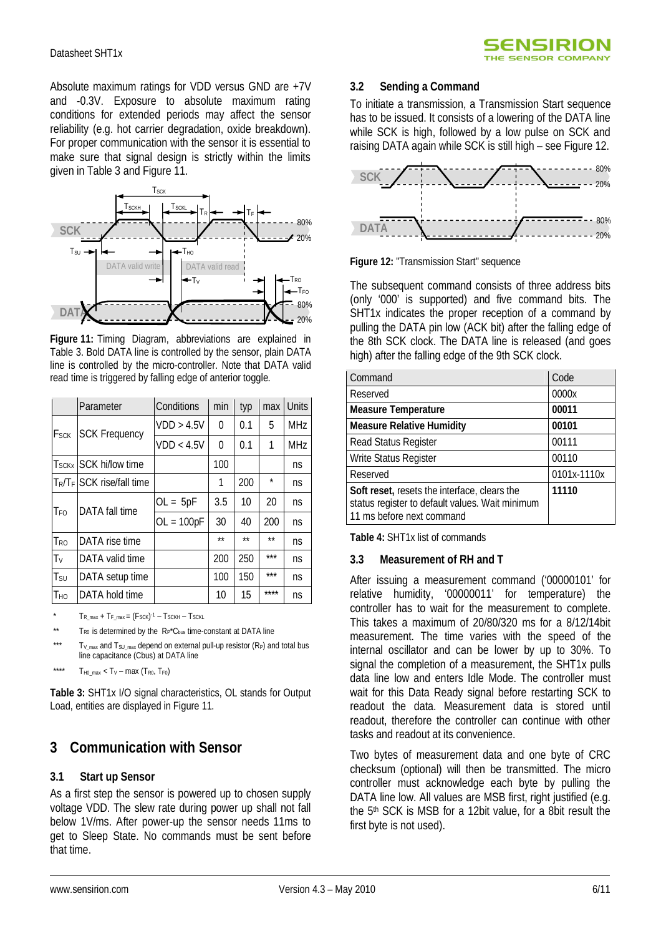Absolute maximum ratings for VDD versus GND are +7V and -0.3V. Exposure to absolute maximum rating conditions for extended periods may affect the sensor reliability (e.g. hot carrier degradation, oxide breakdown). For proper communication with the sensor it is essential to make sure that signal design is strictly within the limits given in Table 3 and Figure 11.



**Figure 11:** Timing Diagram, abbreviations are explained in Table 3. Bold DATA line is controlled by the sensor, plain DATA line is controlled by the micro-controller. Note that DATA valid read time is triggered by falling edge of anterior toggle.

|                        | Parameter                                | Conditions   | min  | typ  | max     | <b>Units</b> |
|------------------------|------------------------------------------|--------------|------|------|---------|--------------|
| <b>F</b> sck           | <b>SCK Frequency</b>                     | VDD > 4.5V   | 0    | 0.1  | 5       | <b>MHz</b>   |
|                        |                                          | VDD < 4.5V   | 0    | 0.1  | 1       | <b>MHz</b>   |
|                        | T <sub>SCKx</sub> SCK hi/low time        |              | 100  |      |         | ns           |
|                        | $T_{\rm R}/T_{\rm F}$ SCK rise/fall time |              | 1    | 200  | $\star$ | ns           |
| T <sub>FO</sub>        | DATA fall time                           | $OL = 5pF$   | 3.5  | 10   | 20      | ns           |
|                        |                                          | $OL = 100pF$ | 30   | 40   | 200     | ns           |
| <b>T</b> <sub>RO</sub> | DATA rise time                           |              | $**$ | $**$ | $**$    | ns           |
| Tν                     | DATA valid time                          |              | 200  | 250  | $***$   | ns           |
| Tsu                    | DATA setup time                          |              | 100  | 150  | ***     | ns           |
| Тно                    | DATA hold time                           |              | 10   | 15   | ****    | ns           |

\*  $T_{R\_max} + T_{F\_max} = (F_{SCK})^{-1} - T_{SCKH} - T_{SCKL}$ 

\*\*  $T_{R0}$  is determined by the  $R_P$ <sup>\*</sup>C<sub>bus</sub> time-constant at DATA line

 $T_{V_{\text{max}}}$  and  $T_{SU_{\text{max}}}$  depend on external pull-up resistor (R<sub>P</sub>) and total bus line capacitance (Cbus) at DATA line

\*\*\*\*  $T_{H0\_max} < T_V - max (T_{R0}, T_{F0})$ 

**Table 3:** SHT1x I/O signal characteristics, OL stands for Output Load, entities are displayed in Figure 11.

### **3 Communication with Sensor**

#### **3.1 Start up Sensor**

As a first step the sensor is powered up to chosen supply voltage VDD. The slew rate during power up shall not fall below 1V/ms. After power-up the sensor needs 11ms to get to Sleep State. No commands must be sent before that time.

#### **3.2 Sending a Command**

To initiate a transmission, a Transmission Start sequence has to be issued. It consists of a lowering of the DATA line while SCK is high, followed by a low pulse on SCK and raising DATA again while SCK is still high – see Figure 12.



**Figure 12:** "Transmission Start" sequence

The subsequent command consists of three address bits (only '000' is supported) and five command bits. The SHT1x indicates the proper reception of a command by pulling the DATA pin low (ACK bit) after the falling edge of the 8th SCK clock. The DATA line is released (and goes high) after the falling edge of the 9th SCK clock.

| Command                                                                                                                             | Code        |
|-------------------------------------------------------------------------------------------------------------------------------------|-------------|
| Reserved                                                                                                                            | 0000x       |
| <b>Measure Temperature</b>                                                                                                          | 00011       |
| <b>Measure Relative Humidity</b>                                                                                                    | 00101       |
| Read Status Register                                                                                                                | 00111       |
| Write Status Register                                                                                                               | 00110       |
| Reserved                                                                                                                            | 0101x-1110x |
| <b>Soft reset, resets the interface, clears the</b><br>status register to default values. Wait minimum<br>11 ms before next command | 11110       |

**Table 4:** SHT1x list of commands

#### **3.3 Measurement of RH and T**

After issuing a measurement command ('00000101' for relative humidity, '00000011' for temperature) the controller has to wait for the measurement to complete. This takes a maximum of 20/80/320 ms for a 8/12/14bit measurement. The time varies with the speed of the internal oscillator and can be lower by up to 30%. To signal the completion of a measurement, the SHT1x pulls data line low and enters Idle Mode. The controller must wait for this Data Ready signal before restarting SCK to readout the data. Measurement data is stored until readout, therefore the controller can continue with other tasks and readout at its convenience.

Two bytes of measurement data and one byte of CRC checksum (optional) will then be transmitted. The micro controller must acknowledge each byte by pulling the DATA line low. All values are MSB first, right justified (e.g. the 5<sup>th</sup> SCK is MSB for a 12bit value, for a 8bit result the first byte is not used).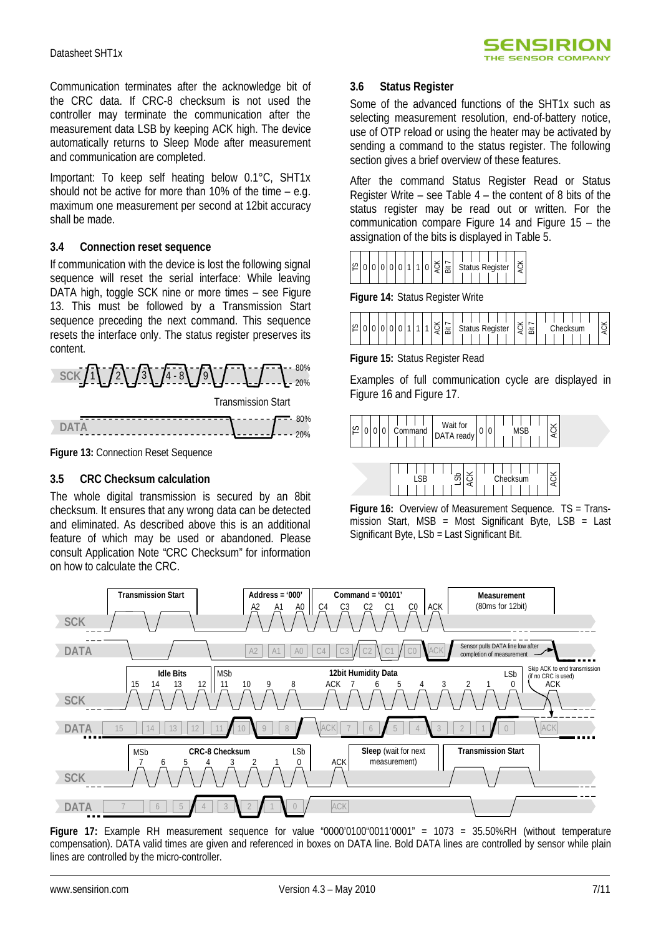Communication terminates after the acknowledge bit of the CRC data. If CRC-8 checksum is not used the controller may terminate the communication after the measurement data LSB by keeping ACK high. The device automatically returns to Sleep Mode after measurement and communication are completed.

Important: To keep self heating below 0.1°C, SHT1x should not be active for more than 10% of the time – e.g. maximum one measurement per second at 12bit accuracy shall be made.

#### **3.4 Connection reset sequence**

If communication with the device is lost the following signal sequence will reset the serial interface: While leaving DATA high, toggle SCK nine or more times – see Figure 13. This must be followed by a Transmission Start sequence preceding the next command. This sequence resets the interface only. The status register preserves its content.



**Figure 13: Connection Reset Sequence** 

### **3.5 CRC Checksum calculation**

The whole digital transmission is secured by an 8bit checksum. It ensures that any wrong data can be detected and eliminated. As described above this is an additional feature of which may be used or abandoned. Please consult Application Note "CRC Checksum" for information on how to calculate the CRC.

### **3.6 Status Register**

Some of the advanced functions of the SHT1x such as selecting measurement resolution, end-of-battery notice, use of OTP reload or using the heater may be activated by sending a command to the status register. The following section gives a brief overview of these features.

After the command Status Register Read or Status Register Write – see Table 4 – the content of 8 bits of the status register may be read out or written. For the communication compare Figure 14 and Figure 15 – the assignation of the bits is displayed in Table 5.



**Figure 14:** Status Register Write



**Figure 15:** Status Register Read

Examples of full communication cycle are displayed in Figure 16 and Figure 17.



**Figure 16:** Overview of Measurement Sequence. TS = Transmission Start, MSB = Most Significant Byte, LSB = Last Significant Byte, LSb = Last Significant Bit.



**Figure 17:** Example RH measurement sequence for value "0000'0100"0011'0001" = 1073 = 35.50%RH (without temperature compensation). DATA valid times are given and referenced in boxes on DATA line. Bold DATA lines are controlled by sensor while plain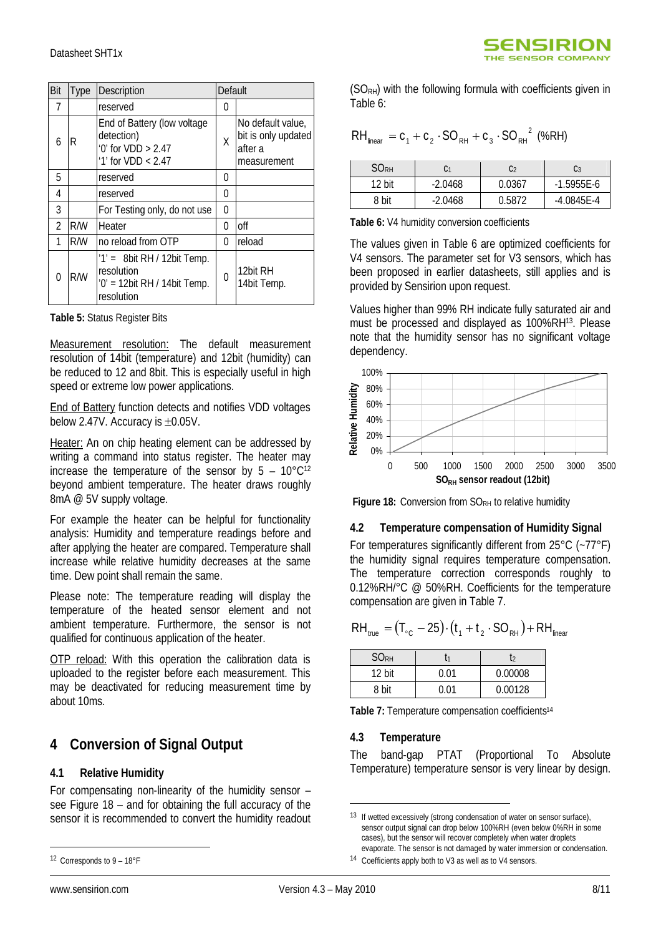| Bit            | Type | Description                                                                                | Default |                                                                    |
|----------------|------|--------------------------------------------------------------------------------------------|---------|--------------------------------------------------------------------|
| 7              |      | reserved                                                                                   | 0       |                                                                    |
| 6              | R    | End of Battery (low voltage<br>detection)<br>'0' for $VDD > 2.47$<br>'1' for $VDD < 2.47$  | X       | No default value,<br>bit is only updated<br>after a<br>measurement |
| 5              |      | reserved                                                                                   | 0       |                                                                    |
| 4              |      | reserved                                                                                   | 0       |                                                                    |
| 3              |      | For Testing only, do not use                                                               | 0       |                                                                    |
| $\mathfrak{p}$ | R/W  | Heater                                                                                     | 0       | off                                                                |
| 1              | R/W  | no reload from OTP                                                                         | 0       | reload                                                             |
| 0              | R/W  | $1' = 8bit RH / 12bit Temp.$<br>resolution<br>$'0'$ = 12bit RH / 14bit Temp.<br>resolution | 0       | 12bit RH<br>14bit Temp.                                            |

**Table 5:** Status Register Bits

Measurement resolution: The default measurement resolution of 14bit (temperature) and 12bit (humidity) can be reduced to 12 and 8bit. This is especially useful in high speed or extreme low power applications.

End of Battery function detects and notifies VDD voltages below 2.47V. Accuracy is  $\pm 0.05V$ .

Heater: An on chip heating element can be addressed by writing a command into status register. The heater may increase the temperature of the sensor by  $5 - 10^{\circ}C^{12}$ beyond ambient temperature. The heater draws roughly 8mA @ 5V supply voltage.

For example the heater can be helpful for functionality analysis: Humidity and temperature readings before and after applying the heater are compared. Temperature shall increase while relative humidity decreases at the same time. Dew point shall remain the same.

Please note: The temperature reading will display the temperature of the heated sensor element and not ambient temperature. Furthermore, the sensor is not qualified for continuous application of the heater.

OTP reload: With this operation the calibration data is uploaded to the register before each measurement. This may be deactivated for reducing measurement time by about 10ms.

## **4 Conversion of Signal Output**

### **4.1 Relative Humidity**

For compensating non-linearity of the humidity sensor – see Figure 18 – and for obtaining the full accuracy of the sensor it is recommended to convert the humidity readout  $(SO<sub>RH</sub>)$  with the following formula with coefficients given in Table 6:

SENSIRION THE SENSOR COMPANY

$$
RH_{\text{linear}} = c_1 + c_2 \cdot SO_{\text{RH}} + c_3 \cdot SO_{\text{RH}}^2 \text{ (%RH)}
$$

| SORH   | C1        | C2     | C <sub>3</sub> |
|--------|-----------|--------|----------------|
| 12 bit | $-2.0468$ | 0.0367 | $-1.5955E - 6$ |
| 8 bit  | $-2.0468$ | 0.5872 | $-4.0845E - 4$ |

**Table 6:** V4 humidity conversion coefficients

The values given in Table 6 are optimized coefficients for V4 sensors. The parameter set for V3 sensors, which has been proposed in earlier datasheets, still applies and is provided by Sensirion upon request.

Values higher than 99% RH indicate fully saturated air and must be processed and displayed as 100%RH13. Please note that the humidity sensor has no significant voltage dependency.



**Figure 18:** Conversion from SO<sub>RH</sub> to relative humidity

#### **4.2 Temperature compensation of Humidity Signal**

For temperatures significantly different from 25°C (~77°F) the humidity signal requires temperature compensation. The temperature correction corresponds roughly to 0.12%RH/°C @ 50%RH. Coefficients for the temperature compensation are given in Table 7.

$$
\text{RH}_{\text{true}} = (\text{T}_{\text{C}} - 25) \cdot (\text{t}_{1} + \text{t}_{2} \cdot \text{SO}_{\text{RH}}) + \text{RH}_{\text{linear}}
$$

| <b>SORH</b> |      | $\mathsf{L}$ |
|-------------|------|--------------|
| 12 bit      | 0.01 | 0.00008      |
| 8 bit       | በ በ1 | 0.00128      |

Table 7: Temperature compensation coefficients<sup>14</sup>

#### **4.3 Temperature**

The band-gap PTAT (Proportional To Absolute Temperature) temperature sensor is very linear by design.

 $\overline{a}$ 

<sup>12</sup> Corresponds to 9 – 18°F

<sup>13</sup> If wetted excessively (strong condensation of water on sensor surface), sensor output signal can drop below 100%RH (even below 0%RH in some cases), but the sensor will recover completely when water droplets evaporate. The sensor is not damaged by water immersion or condensation.

<sup>14</sup> Coefficients apply both to V3 as well as to V4 sensors.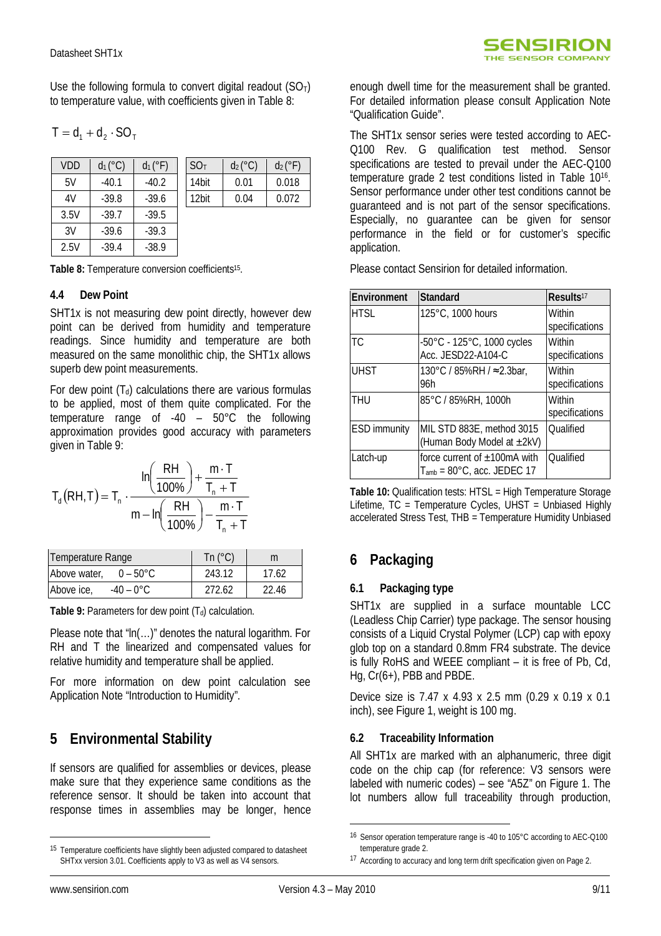Use the following formula to convert digital readout  $(SO<sub>T</sub>)$ to temperature value, with coefficients given in Table 8:

$$
T = d_1 + d_2 \cdot SO_T
$$

| <b>VDD</b> | $d_1 (°C)$ | $d_1$ ( $\circ$ F) | SO <sub>T</sub> | $d_2$ (°C) | $d_2$ ( $\degree$ F) |
|------------|------------|--------------------|-----------------|------------|----------------------|
| 5V         | $-40.1$    | $-40.2$            | 14bit           | 0.01       | 0.018                |
| 4V         | $-39.8$    | $-39.6$            | 12bit           | 0.04       | 0.072                |
| 3.5V       | $-39.7$    | $-39.5$            |                 |            |                      |
| 3V         | $-39.6$    | $-39.3$            |                 |            |                      |
| 2.5V       | $-39.4$    | $-38.9$            |                 |            |                      |

**Table 8:** Temperature conversion coefficients<sup>15</sup> .

#### **4.4 Dew Point**

SHT1x is not measuring dew point directly, however dew point can be derived from humidity and temperature readings. Since humidity and temperature are both measured on the same monolithic chip, the SHT1x allows superb dew point measurements.

For dew point  $(T_d)$  calculations there are various formulas to be applied, most of them quite complicated. For the temperature range of -40 – 50°C the following approximation provides good accuracy with parameters given in Table 9:

$$
T_{d}(RH,T) = T_{n} \cdot \frac{ln\left(\frac{RH}{100\%}\right) + \frac{m \cdot T}{T_{n} + T}}{m - ln\left(\frac{RH}{100\%}\right) - \frac{m \cdot T}{T_{n} + T}}
$$

| Temperature Range                  | Tn $(^{\circ}C)$ | m     |
|------------------------------------|------------------|-------|
| Above water.<br>$0 - 50^{\circ}$ C | 243.12           | 17.62 |
| Above ice,<br>$-40 - 0^{\circ}$ C  | 272.62           | 22.46 |

**Table 9:** Parameters for dew point  $(T_d)$  calculation.

Please note that "ln(…)" denotes the natural logarithm. For RH and T the linearized and compensated values for relative humidity and temperature shall be applied.

For more information on dew point calculation see Application Note "Introduction to Humidity".

# **5 Environmental Stability**

If sensors are qualified for assemblies or devices, please make sure that they experience same conditions as the reference sensor. It should be taken into account that response times in assemblies may be longer, hence enough dwell time for the measurement shall be granted. For detailed information please consult Application Note "Qualification Guide".

The SHT1x sensor series were tested according to AEC-Q100 Rev. G qualification test method. Sensor specifications are tested to prevail under the AEC-Q100 temperature grade 2 test conditions listed in Table 10<sup>16</sup> . Sensor performance under other test conditions cannot be guaranteed and is not part of the sensor specifications. Especially, no guarantee can be given for sensor performance in the field or for customer's specific application.

Please contact Sensirion for detailed information.

| <b>Environment</b>  | <b>Standard</b>                                                                  | Results <sup>17</sup>    |
|---------------------|----------------------------------------------------------------------------------|--------------------------|
| <b>HTSL</b>         | 125°C, 1000 hours                                                                | Within<br>specifications |
| TC.                 | -50°C - 125°C, 1000 cycles<br>Acc. JESD22-A104-C                                 | Within<br>specifications |
| <b>UHST</b>         | 130°C / 85%RH / $\approx$ 2.3bar,<br>96h                                         | Within<br>specifications |
| THU                 | 85°C / 85%RH, 1000h                                                              | Within<br>specifications |
| <b>ESD immunity</b> | MIL STD 883E, method 3015<br>(Human Body Model at ±2kV)                          | <b>Oualified</b>         |
| Latch-up            | force current of $\pm 100$ mA with<br>$T_{amb}$ = 80 $^{\circ}$ C, acc. JEDEC 17 | <b>Oualified</b>         |

**Table 10:** Qualification tests: HTSL = High Temperature Storage Lifetime,  $TC = Temperature Cycles$ , UHST = Unbiased Highly accelerated Stress Test, THB = Temperature Humidity Unbiased

# **6 Packaging**

### **6.1 Packaging type**

SHT1x are supplied in a surface mountable LCC (Leadless Chip Carrier) type package. The sensor housing consists of a Liquid Crystal Polymer (LCP) cap with epoxy glob top on a standard 0.8mm FR4 substrate. The device is fully RoHS and WEEE compliant – it is free of Pb, Cd, Hg, Cr(6+), PBB and PBDE.

Device size is 7.47 x 4.93 x 2.5 mm (0.29 x 0.19 x 0.1 inch), see Figure 1, weight is 100 mg.

### **6.2 Traceability Information**

All SHT1x are marked with an alphanumeric, three digit code on the chip cap (for reference: V3 sensors were labeled with numeric codes) – see "A5Z" on Figure 1. The lot numbers allow full traceability through production,

 $\overline{a}$ 

<sup>&</sup>lt;sup>15</sup> Temperature coefficients have slightly been adjusted compared to datasheet SHTxx version 3.01. Coefficients apply to V3 as well as V4 sensors.

<sup>16</sup> Sensor operation temperature range is -40 to 105°C according to AEC-Q100 temperature grade 2.

<sup>17</sup> According to accuracy and long term drift specification given on Page 2.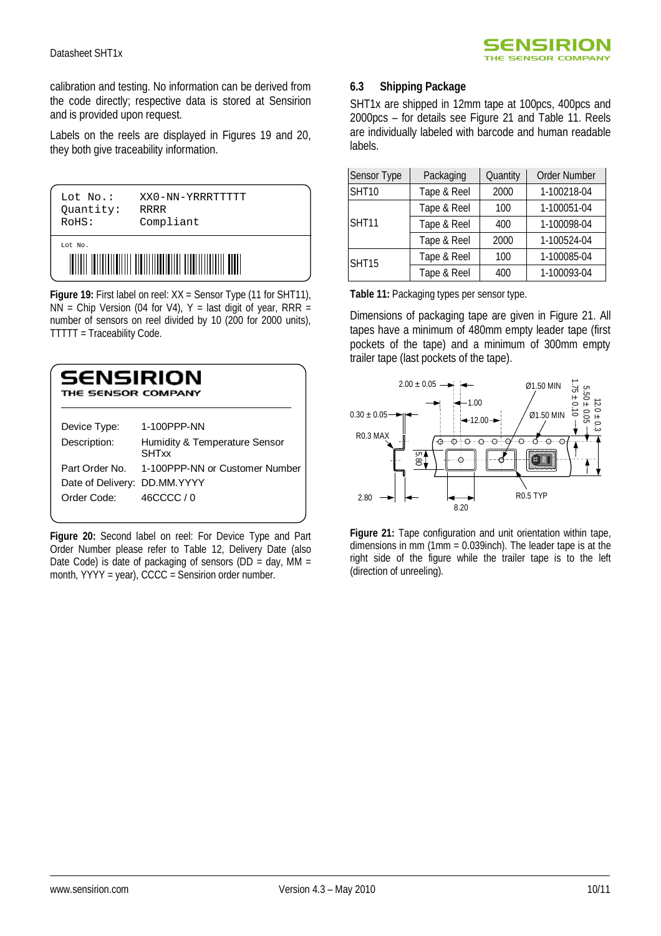calibration and testing. No information can be derived from the code directly; respective data is stored at Sensirion and is provided upon request.

Labels on the reels are displayed in Figures 19 and 20, they both give traceability information.



**Figure 19:** First label on reel: XX = Sensor Type (11 for SHT11),  $NN =$  Chip Version (04 for V4), Y = last digit of year, RRR = number of sensors on reel divided by 10 (200 for 2000 units), TTTTT = Traceability Code.

| SENSIRION<br>THE SENSOR COMPANY |                                               |  |
|---------------------------------|-----------------------------------------------|--|
| Device Type:                    | 1-100PPP-NN                                   |  |
| Description:                    | Humidity & Temperature Sensor<br><b>SHTxx</b> |  |
| Part Order No.                  | 1-100PPP-NN or Customer Number                |  |
| Date of Delivery:               | DD.MM.YYYY                                    |  |
| Order Code:                     | 46CCCC / 0                                    |  |

**Figure 20:** Second label on reel: For Device Type and Part Order Number please refer to Table 12, Delivery Date (also Date Code) is date of packaging of sensors (DD = day, MM = month, YYYY = year), CCCC = Sensirion order number.

### **6.3 Shipping Package**

SHT1x are shipped in 12mm tape at 100pcs, 400pcs and 2000pcs – for details see Figure 21 and Table 11. Reels are individually labeled with barcode and human readable labels.

| Sensor Type  | Packaging   | Quantity | <b>Order Number</b> |
|--------------|-------------|----------|---------------------|
| <b>SHT10</b> | Tape & Reel | 2000     | 1-100218-04         |
| <b>SHT11</b> | Tape & Reel | 100      | 1-100051-04         |
|              | Tape & Reel | 400      | 1-100098-04         |
|              | Tape & Reel | 2000     | 1-100524-04         |
| <b>SHT15</b> | Tape & Reel | 100      | 1-100085-04         |
|              | Tape & Reel | 400      | 1-100093-04         |

**Table 11:** Packaging types per sensor type.

Dimensions of packaging tape are given in Figure 21. All tapes have a minimum of 480mm empty leader tape (first pockets of the tape) and a minimum of 300mm empty trailer tape (last pockets of the tape).



**Figure 21:** Tape configuration and unit orientation within tape, dimensions in mm (1mm = 0.039inch). The leader tape is at the right side of the figure while the trailer tape is to the left (direction of unreeling).